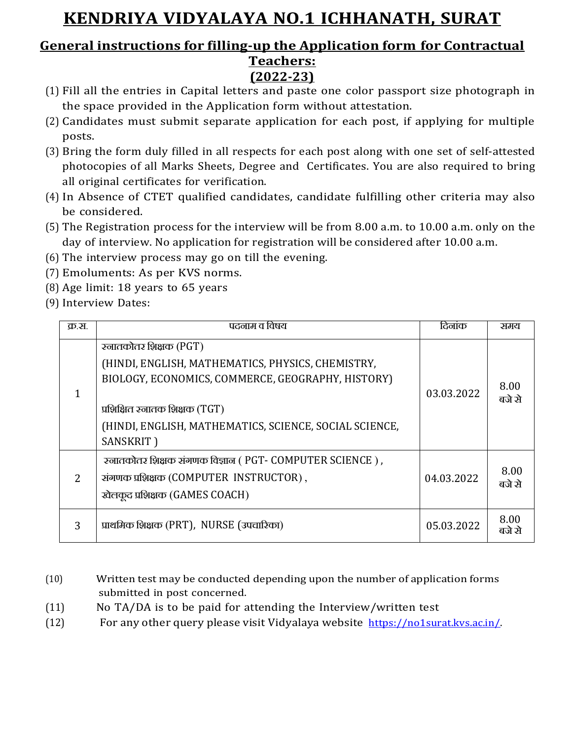## **KENDRIYA VIDYALAYA NO.1 ICHHANATH, SURAT**

## **General instructions for filling-up the Application form for Contractual Teachers:**

# **(2022-23)**

- (1) Fill all the entries in Capital letters and paste one color passport size photograph in the space provided in the Application form without attestation.
- (2) Candidates must submit separate application for each post, if applying for multiple posts.
- (3) Bring the form duly filled in all respects for each post along with one set of self-attested photocopies of all Marks Sheets, Degree and Certificates. You are also required to bring all original certificates for verification.
- (4) In Absence of CTET qualified candidates, candidate fulfilling other criteria may also be considered.
- (5) The Registration process for the interview will be from 8.00 a.m. to 10.00 a.m. only on the day of interview. No application for registration will be considered after 10.00 a.m.
- (6) The interview process may go on till the evening.
- (7) Emoluments: As per KVS norms.
- (8) Age limit: 18 years to 65 years
- (9) Interview Dates:

| क्र.स.        | पदनाम व विषय                                                                                                                                                                                                                              | दिनांक     | समय            |
|---------------|-------------------------------------------------------------------------------------------------------------------------------------------------------------------------------------------------------------------------------------------|------------|----------------|
|               | ख्जातकोतर शिक्षक (PGT)<br>(HINDI, ENGLISH, MATHEMATICS, PHYSICS, CHEMISTRY,<br>BIOLOGY, ECONOMICS, COMMERCE, GEOGRAPHY, HISTORY)<br>प्रशिक्षित स्नातक शिक्षक (TGT)<br>(HINDI, ENGLISH, MATHEMATICS, SCIENCE, SOCIAL SCIENCE,<br>SANSKRIT) | 03.03.2022 | 8.00<br>बजे से |
| $\mathcal{L}$ | रनातकोतर शिक्षक संगणक विज्ञान ( PGT- COMPUTER SCIENCE ),<br>संगणक प्रशिक्षक (COMPUTER INSTRUCTOR),<br>खेलकूद प्रशिक्षक (GAMES COACH)                                                                                                      | 04.03.2022 | 8.00<br>बजे से |
| 3             | प्राथमिक शिक्षक (PRT), NURSE (उपचारिका)                                                                                                                                                                                                   | 05.03.2022 | 8.00<br>बजे से |

- (10) Written test may be conducted depending upon the number of application forms submitted in post concerned.
- (11) No TA/DA is to be paid for attending the Interview/written test
- (12) For any other query please visit Vidyalaya website [https://no1surat.kvs.ac.in/.](https://no1surat.kvs.ac.in/)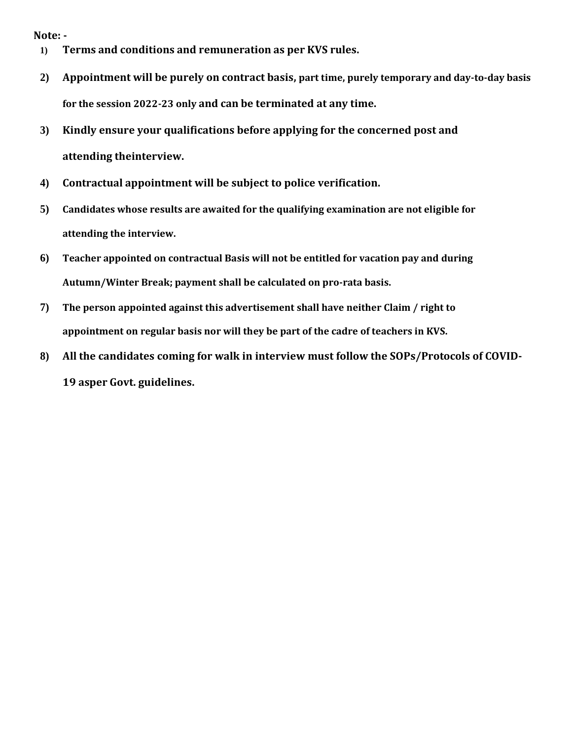#### **Note: -**

- **1) Terms and conditions and remuneration as per KVS rules.**
- **2) Appointment will be purely on contract basis, part time, purely temporary and day-to-day basis for the session 2022-23 only and can be terminated at any time.**
- **3) Kindly ensure your qualifications before applying for the concerned post and attending theinterview.**
- **4) Contractual appointment will be subject to police verification.**
- **5) Candidates whose results are awaited for the qualifying examination are not eligible for attending the interview.**
- **6) Teacher appointed on contractual Basis will not be entitled for vacation pay and during Autumn/Winter Break; payment shall be calculated on pro-rata basis.**
- **7) The person appointed against this advertisement shall have neither Claim / right to appointment on regular basis nor will they be part of the cadre of teachers in KVS.**
- **8) All the candidates coming for walk in interview must follow the SOPs/Protocols of COVID-19 asper Govt. guidelines.**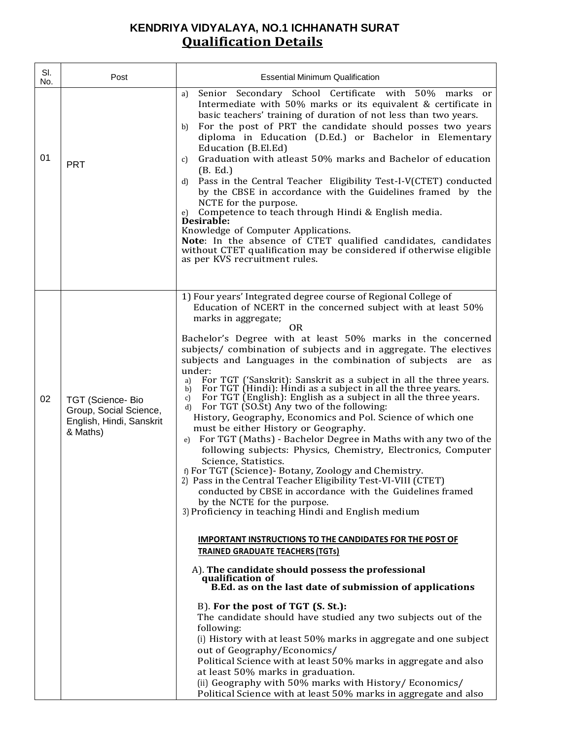## **KENDRIYA VIDYALAYA, NO.1 ICHHANATH SURAT Qualification Details**

| SI.<br>No. | Post                                                                               | <b>Essential Minimum Qualification</b>                                                                                                                                                                                                                                                                                                                                                                                                                                                                                                                                                                                                                                                                                                                                                                                                                                                                                                                                                                                                                           |
|------------|------------------------------------------------------------------------------------|------------------------------------------------------------------------------------------------------------------------------------------------------------------------------------------------------------------------------------------------------------------------------------------------------------------------------------------------------------------------------------------------------------------------------------------------------------------------------------------------------------------------------------------------------------------------------------------------------------------------------------------------------------------------------------------------------------------------------------------------------------------------------------------------------------------------------------------------------------------------------------------------------------------------------------------------------------------------------------------------------------------------------------------------------------------|
| 01         | <b>PRT</b>                                                                         | Senior Secondary School Certificate with 50% marks<br>a)<br><sub>or</sub><br>Intermediate with 50% marks or its equivalent & certificate in<br>basic teachers' training of duration of not less than two years.<br>For the post of PRT the candidate should posses two years<br>b)<br>diploma in Education (D.Ed.) or Bachelor in Elementary<br>Education (B.El.Ed)<br>Graduation with atleast 50% marks and Bachelor of education<br>$\mathfrak{c}$<br>(B. Ed.)<br>Pass in the Central Teacher Eligibility Test-I-V(CTET) conducted<br>d)<br>by the CBSE in accordance with the Guidelines framed by the<br>NCTE for the purpose.<br>Competence to teach through Hindi & English media.<br>e)<br>Desirable:<br>Knowledge of Computer Applications.<br>Note: In the absence of CTET qualified candidates, candidates<br>without CTET qualification may be considered if otherwise eligible<br>as per KVS recruitment rules.                                                                                                                                      |
|            |                                                                                    | 1) Four years' Integrated degree course of Regional College of<br>Education of NCERT in the concerned subject with at least 50%<br>marks in aggregate;                                                                                                                                                                                                                                                                                                                                                                                                                                                                                                                                                                                                                                                                                                                                                                                                                                                                                                           |
| 02         | TGT (Science-Bio<br>Group, Social Science,<br>English, Hindi, Sanskrit<br>& Maths) | 0 <sub>R</sub><br>Bachelor's Degree with at least 50% marks in the concerned<br>subjects/ combination of subjects and in aggregate. The electives<br>subjects and Languages in the combination of subjects are as<br>under:<br>For TGT ('Sanskrit): Sanskrit as a subject in all the three years.<br>a)<br>For TGT (Hindi): Hindi as a subject in all the three years.<br>b)<br>For TGT (English): English as a subject in all the three years.<br>c)<br>For TGT (SO.St) Any two of the following:<br>d)<br>History, Geography, Economics and Pol. Science of which one<br>must be either History or Geography.<br>For TGT (Maths) - Bachelor Degree in Maths with any two of the<br>e)<br>following subjects: Physics, Chemistry, Electronics, Computer<br>Science, Statistics.<br>f) For TGT (Science) - Botany, Zoology and Chemistry.<br>2) Pass in the Central Teacher Eligibility Test-VI-VIII (CTET)<br>conducted by CBSE in accordance with the Guidelines framed<br>by the NCTE for the purpose.<br>3) Proficiency in teaching Hindi and English medium |
|            |                                                                                    | <b>IMPORTANT INSTRUCTIONS TO THE CANDIDATES FOR THE POST OF</b><br><b>TRAINED GRADUATE TEACHERS (TGTs)</b>                                                                                                                                                                                                                                                                                                                                                                                                                                                                                                                                                                                                                                                                                                                                                                                                                                                                                                                                                       |
|            |                                                                                    | A). The candidate should possess the professional<br>qualification of<br>B.Ed. as on the last date of submission of applications                                                                                                                                                                                                                                                                                                                                                                                                                                                                                                                                                                                                                                                                                                                                                                                                                                                                                                                                 |
|            |                                                                                    | B). For the post of TGT (S. St.):<br>The candidate should have studied any two subjects out of the<br>following:<br>(i) History with at least 50% marks in aggregate and one subject<br>out of Geography/Economics/<br>Political Science with at least 50% marks in aggregate and also<br>at least 50% marks in graduation.<br>(ii) Geography with 50% marks with History/Economics/<br>Political Science with at least 50% marks in aggregate and also                                                                                                                                                                                                                                                                                                                                                                                                                                                                                                                                                                                                          |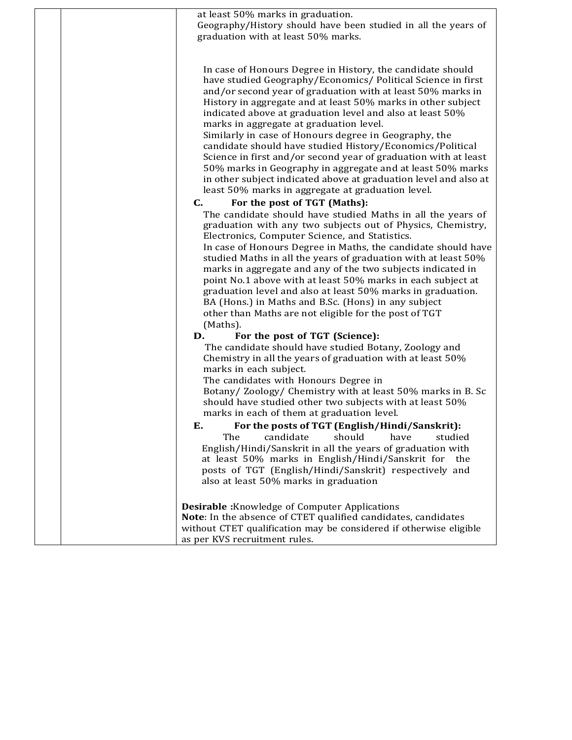| at least 50% marks in graduation.<br>Geography/History should have been studied in all the years of<br>graduation with at least 50% marks.                                                                                                                                                                                                                                                                                                                                                                                                                                                                                                                                                                                                                                              |
|-----------------------------------------------------------------------------------------------------------------------------------------------------------------------------------------------------------------------------------------------------------------------------------------------------------------------------------------------------------------------------------------------------------------------------------------------------------------------------------------------------------------------------------------------------------------------------------------------------------------------------------------------------------------------------------------------------------------------------------------------------------------------------------------|
| In case of Honours Degree in History, the candidate should<br>have studied Geography/Economics/ Political Science in first<br>and/or second year of graduation with at least 50% marks in<br>History in aggregate and at least 50% marks in other subject<br>indicated above at graduation level and also at least 50%<br>marks in aggregate at graduation level.<br>Similarly in case of Honours degree in Geography, the<br>candidate should have studied History/Economics/Political<br>Science in first and/or second year of graduation with at least<br>50% marks in Geography in aggregate and at least 50% marks<br>in other subject indicated above at graduation level and also at<br>least 50% marks in aggregate at graduation level.<br>C.<br>For the post of TGT (Maths): |
| The candidate should have studied Maths in all the years of<br>graduation with any two subjects out of Physics, Chemistry,<br>Electronics, Computer Science, and Statistics.<br>In case of Honours Degree in Maths, the candidate should have<br>studied Maths in all the years of graduation with at least 50%<br>marks in aggregate and any of the two subjects indicated in<br>point No.1 above with at least 50% marks in each subject at<br>graduation level and also at least 50% marks in graduation.<br>BA (Hons.) in Maths and B.Sc. (Hons) in any subject<br>other than Maths are not eligible for the post of TGT<br>(Maths).                                                                                                                                                |
| For the post of TGT (Science):<br>D.<br>The candidate should have studied Botany, Zoology and<br>Chemistry in all the years of graduation with at least 50%<br>marks in each subject.<br>The candidates with Honours Degree in<br>Botany/Zoology/ Chemistry with at least 50% marks in B. Sc<br>should have studied other two subjects with at least 50%<br>marks in each of them at graduation level.                                                                                                                                                                                                                                                                                                                                                                                  |
| E.<br>For the posts of TGT (English/Hindi/Sanskrit):<br>should<br>The<br>candidate<br>have<br>studied<br>English/Hindi/Sanskrit in all the years of graduation with<br>at least 50% marks in English/Hindi/Sanskrit for<br>the<br>posts of TGT (English/Hindi/Sanskrit) respectively and<br>also at least 50% marks in graduation                                                                                                                                                                                                                                                                                                                                                                                                                                                       |
| <b>Desirable:</b> Knowledge of Computer Applications<br>Note: In the absence of CTET qualified candidates, candidates<br>without CTET qualification may be considered if otherwise eligible<br>as per KVS recruitment rules.                                                                                                                                                                                                                                                                                                                                                                                                                                                                                                                                                            |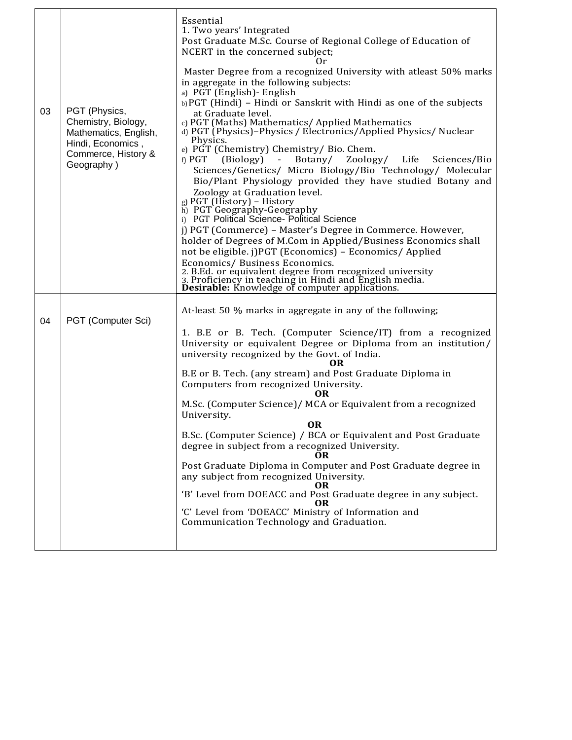| 03 | PGT (Physics,<br>Chemistry, Biology,<br>Mathematics, English,<br>Hindi, Economics,<br>Commerce, History &<br>Geography) | Essential<br>1. Two years' Integrated<br>Post Graduate M.Sc. Course of Regional College of Education of<br>NCERT in the concerned subject;<br>Оr<br>Master Degree from a recognized University with atleast 50% marks<br>in aggregate in the following subjects:<br>a) PGT (English) - English<br>b) PGT (Hindi) – Hindi or Sanskrit with Hindi as one of the subjects<br>at Graduate level.<br>c) PGT (Maths) Mathematics/ Applied Mathematics<br>d) PGT (Physics)-Physics / Electronics/Applied Physics/ Nuclear<br>Physics.<br>e) PGT (Chemistry) Chemistry/ Bio. Chem.<br>f) $PGT$ (Biology) -<br>Botany/ Zoology/ Life Sciences/Bio<br>Sciences/Genetics/ Micro Biology/Bio Technology/ Molecular<br>Bio/Plant Physiology provided they have studied Botany and<br>Zoology at Graduation level.<br>g) PGT (History) – History<br>h) PGT Geography-Geography<br>i) PGT Political Science- Political Science<br>j) PGT (Commerce) - Master's Degree in Commerce. However,<br>holder of Degrees of M.Com in Applied/Business Economics shall<br>not be eligible. j)PGT (Economics) - Economics/ Applied<br>Economics/ Business Economics.<br>2. B.Ed. or equivalent degree from recognized university<br>3. Proficiency in teaching in Hindi and English media.<br><b>Desirable:</b> Knowledge of computer applications. |
|----|-------------------------------------------------------------------------------------------------------------------------|----------------------------------------------------------------------------------------------------------------------------------------------------------------------------------------------------------------------------------------------------------------------------------------------------------------------------------------------------------------------------------------------------------------------------------------------------------------------------------------------------------------------------------------------------------------------------------------------------------------------------------------------------------------------------------------------------------------------------------------------------------------------------------------------------------------------------------------------------------------------------------------------------------------------------------------------------------------------------------------------------------------------------------------------------------------------------------------------------------------------------------------------------------------------------------------------------------------------------------------------------------------------------------------------------------------------------|
| 04 | PGT (Computer Sci)                                                                                                      | At-least 50 % marks in aggregate in any of the following;<br>1. B.E or B. Tech. (Computer Science/IT) from a recognized<br>University or equivalent Degree or Diploma from an institution/<br>university recognized by the Govt. of India.<br>OR.<br>B.E or B. Tech. (any stream) and Post Graduate Diploma in<br>Computers from recognized University.<br>OR.<br>M.Sc. (Computer Science)/ MCA or Equivalent from a recognized<br>University.<br><b>OR</b><br>B.Sc. (Computer Science) / BCA or Equivalent and Post Graduate<br>degree in subject from a recognized University.<br>Post Graduate Diploma in Computer and Post Graduate degree in<br>any subject from recognized University.<br>OR<br>'B' Level from DOEACC and Post Graduate degree in any subject.<br>OR<br>'C' Level from 'DOEACC' Ministry of Information and<br>Communication Technology and Graduation.                                                                                                                                                                                                                                                                                                                                                                                                                                              |